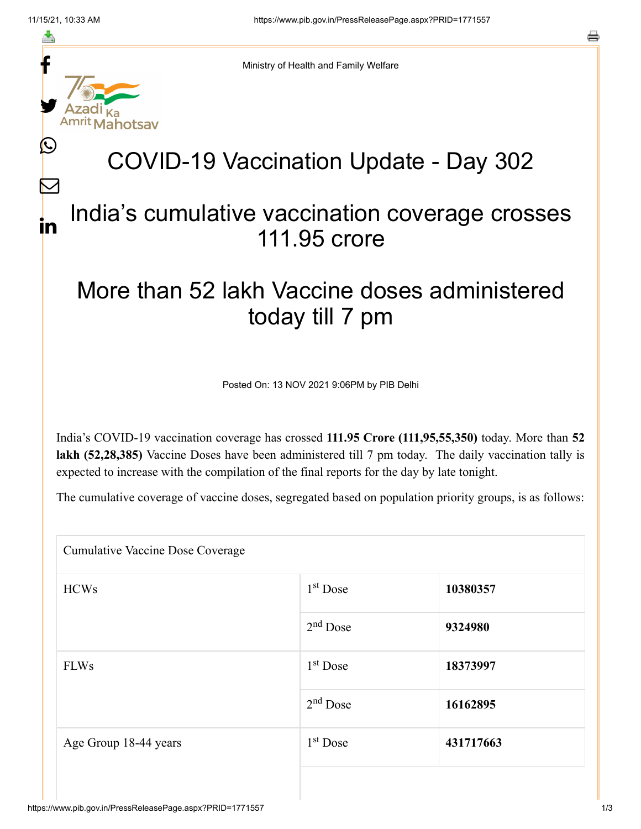f

≛

y.

ahotsav

Ŀ

 $\bm{\nabla}$ 

in



## COVID-19 Vaccination Update - Day 302

## India's cumulative vaccination coverage crosses 111.95 crore

## More than 52 lakh Vaccine doses administered today till 7 pm

Posted On: 13 NOV 2021 9:06PM by PIB Delhi

India's COVID-19 vaccination coverage has crossed **111.95 Crore (111,95,55,350)** today. More than **52 lakh (52,28,385)** Vaccine Doses have been administered till 7 pm today. The daily vaccination tally is expected to increase with the compilation of the final reports for the day by late tonight.

The cumulative coverage of vaccine doses, segregated based on population priority groups, is as follows:

Cumulative Vaccine Dose Coverage

| <b>HCWs</b>           | $1st$ Dose | 10380357  |
|-----------------------|------------|-----------|
|                       | $2nd$ Dose | 9324980   |
| <b>FLWs</b>           | $1st$ Dose | 18373997  |
|                       | $2nd$ Dose | 16162895  |
| Age Group 18-44 years | $1st$ Dose | 431717663 |
|                       |            |           |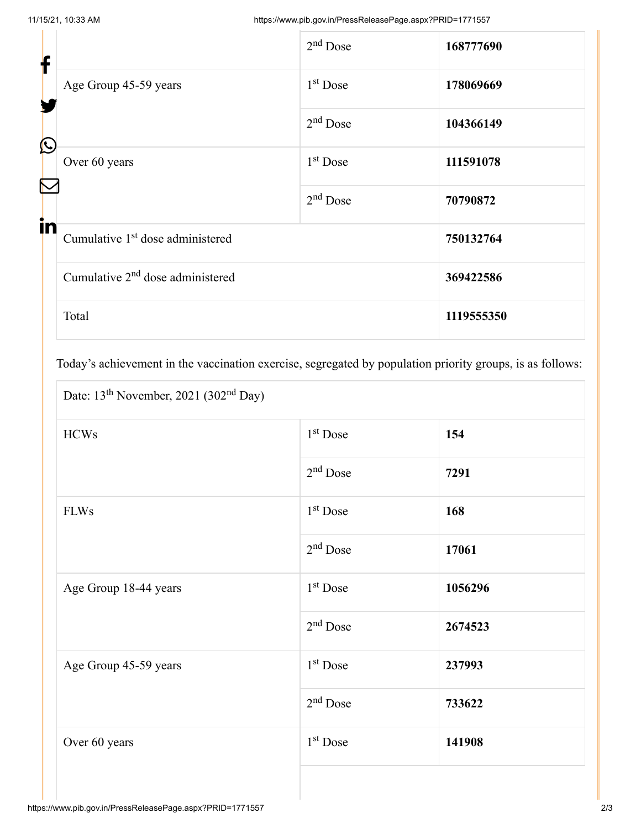| f                     |                                              | $2nd$ Dose           | 168777690  |
|-----------------------|----------------------------------------------|----------------------|------------|
|                       | Age Group 45-59 years                        | 1 <sup>st</sup> Dose | 178069669  |
| $\bigcirc$            |                                              | $2nd$ Dose           | 104366149  |
| $\boldsymbol{\nabla}$ | Over 60 years                                | 1 <sup>st</sup> Dose | 111591078  |
| in                    |                                              | $2nd$ Dose           | 70790872   |
|                       | Cumulative 1 <sup>st</sup> dose administered |                      | 750132764  |
|                       | Cumulative $2nd$ dose administered           |                      |            |
|                       | Total                                        |                      | 1119555350 |

Today's achievement in the vaccination exercise, segregated by population priority groups, is as follows:

Date:  $13<sup>th</sup>$  November, 2021 (302<sup>nd</sup> Day)

| <b>HCWs</b>           | 1 <sup>st</sup> Dose | 154     |
|-----------------------|----------------------|---------|
|                       | $2nd$ Dose           | 7291    |
| <b>FLWs</b>           | 1 <sup>st</sup> Dose | 168     |
|                       | $2nd$ Dose           | 17061   |
| Age Group 18-44 years | $1st$ Dose           | 1056296 |
|                       | $2nd$ Dose           | 2674523 |
| Age Group 45-59 years | 1 <sup>st</sup> Dose | 237993  |
|                       | $2nd$ Dose           | 733622  |
| Over 60 years         | 1 <sup>st</sup> Dose | 141908  |
|                       |                      |         |